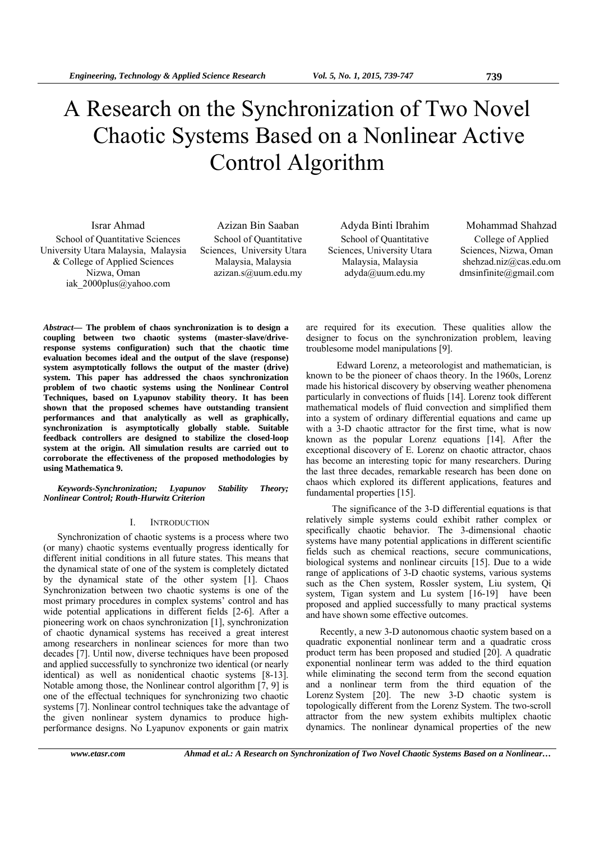# A Research on the Synchronization of Two Novel Chaotic Systems Based on a Nonlinear Active Control Algorithm

School of Quantitative Sciences University Utara Malaysia, Malaysia & College of Applied Sciences Nizwa, Oman iak\_2000plus@yahoo.com

School of Quantitative Sciences, University Utara Malaysia, Malaysia azizan.s@uum.edu.my

School of Quantitative Sciences, University Utara Malaysia, Malaysia adyda@uum.edu.my

Israr Ahmad Azizan Bin Saaban Adyda Binti Ibrahim Mohammad Shahzad College of Applied Sciences, Nizwa, Oman shehzad.niz@cas.edu.om dmsinfinite@gmail.com

*Abstract***— The problem of chaos synchronization is to design a coupling between two chaotic systems (master-slave/driveresponse systems configuration) such that the chaotic time evaluation becomes ideal and the output of the slave (response) system asymptotically follows the output of the master (drive) system. This paper has addressed the chaos synchronization problem of two chaotic systems using the Nonlinear Control Techniques, based on Lyapunov stability theory. It has been shown that the proposed schemes have outstanding transient performances and that analytically as well as graphically, synchronization is asymptotically globally stable. Suitable feedback controllers are designed to stabilize the closed-loop system at the origin. All simulation results are carried out to corroborate the effectiveness of the proposed methodologies by using Mathematica 9.** 

*Keywords-Synchronization; Lyapunov Stability Theory; Nonlinear Control; Routh-Hurwitz Criterion* 

# I. INTRODUCTION

Synchronization of chaotic systems is a process where two (or many) chaotic systems eventually progress identically for different initial conditions in all future states. This means that the dynamical state of one of the system is completely dictated by the dynamical state of the other system [1]. Chaos Synchronization between two chaotic systems is one of the most primary procedures in complex systems' control and has wide potential applications in different fields [2-6]. After a pioneering work on chaos synchronization [1], synchronization of chaotic dynamical systems has received a great interest among researchers in nonlinear sciences for more than two decades [7]. Until now, diverse techniques have been proposed and applied successfully to synchronize two identical (or nearly identical) as well as nonidentical chaotic systems [8-13]. Notable among those, the Nonlinear control algorithm [7, 9] is one of the effectual techniques for synchronizing two chaotic systems [7]. Nonlinear control techniques take the advantage of the given nonlinear system dynamics to produce highperformance designs. No Lyapunov exponents or gain matrix

are required for its execution. These qualities allow the designer to focus on the synchronization problem, leaving troublesome model manipulations [9].

 Edward Lorenz, a meteorologist and mathematician, is known to be the pioneer of chaos theory. In the 1960s, Lorenz made his historical discovery by observing weather phenomena particularly in convections of fluids [14]. Lorenz took different mathematical models of fluid convection and simplified them into a system of ordinary differential equations and came up with a 3-D chaotic attractor for the first time, what is now known as the popular Lorenz equations [14]. After the exceptional discovery of E. Lorenz on chaotic attractor, chaos has become an interesting topic for many researchers. During the last three decades, remarkable research has been done on chaos which explored its different applications, features and fundamental properties [15].

 The significance of the 3-D differential equations is that relatively simple systems could exhibit rather complex or specifically chaotic behavior. The 3-dimensional chaotic systems have many potential applications in different scientific fields such as chemical reactions, secure communications, biological systems and nonlinear circuits [15]. Due to a wide range of applications of 3-D chaotic systems, various systems such as the Chen system, Rossler system, Liu system, Qi system, Tigan system and Lu system [16-19] have been proposed and applied successfully to many practical systems and have shown some effective outcomes.

Recently, a new 3-D autonomous chaotic system based on a quadratic exponential nonlinear term and a quadratic cross product term has been proposed and studied [20]. A quadratic exponential nonlinear term was added to the third equation while eliminating the second term from the second equation and a nonlinear term from the third equation of the Lorenz System [20]. The new 3-D chaotic system is topologically different from the Lorenz System. The two-scroll attractor from the new system exhibits multiplex chaotic dynamics. The nonlinear dynamical properties of the new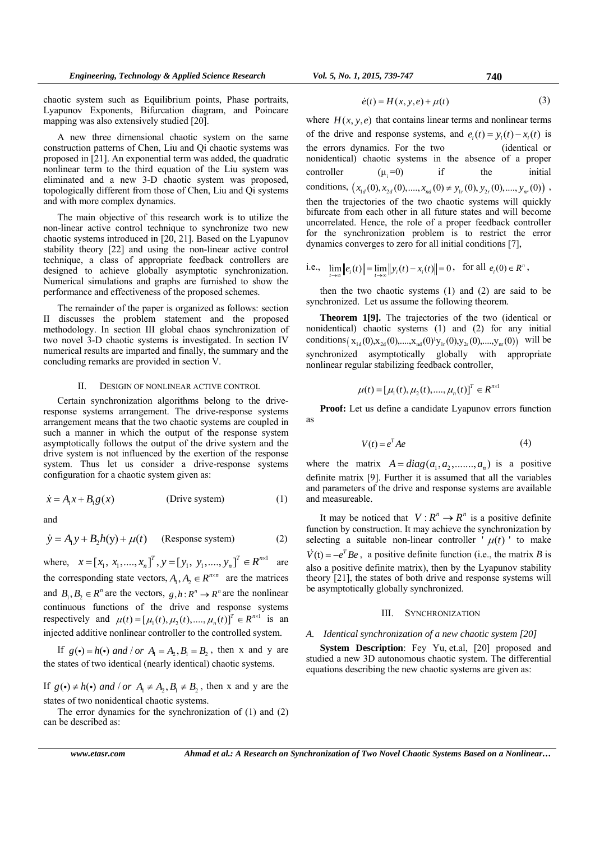chaotic system such as Equilibrium points, Phase portraits, Lyapunov Exponents, Bifurcation diagram, and Poincare mapping was also extensively studied [20].

A new three dimensional chaotic system on the same construction patterns of Chen, Liu and Qi chaotic systems was proposed in [21]. An exponential term was added, the quadratic nonlinear term to the third equation of the Liu system was eliminated and a new 3-D chaotic system was proposed, topologically different from those of Chen, Liu and Qi systems and with more complex dynamics.

The main objective of this research work is to utilize the non-linear active control technique to synchronize two new chaotic systems introduced in [20, 21]. Based on the Lyapunov stability theory [22] and using the non-linear active control technique, a class of appropriate feedback controllers are designed to achieve globally asymptotic synchronization. Numerical simulations and graphs are furnished to show the performance and effectiveness of the proposed schemes.

The remainder of the paper is organized as follows: section II discusses the problem statement and the proposed methodology. In section III global chaos synchronization of two novel 3-D chaotic systems is investigated. In section IV numerical results are imparted and finally, the summary and the concluding remarks are provided in section V.

## II. DESIGIN OF NONLINEAR ACTIVE CONTROL

Certain synchronization algorithms belong to the driveresponse systems arrangement. The drive-response systems arrangement means that the two chaotic systems are coupled in such a manner in which the output of the response system asymptotically follows the output of the drive system and the drive system is not influenced by the exertion of the response system. Thus let us consider a drive-response systems configuration for a chaotic system given as:

$$
\dot{x} = A_1 x + B_1 g(x) \tag{1}
$$

and

$$
\dot{y} = A_1 y + B_2 h(y) + \mu(t) \quad \text{(Response system)} \tag{2}
$$

where,  $x = [x_1, x_1, ..., x_n]^T$ ,  $y = [y_1, y_1, ..., y_n]^T \in R^{n \times 1}$  are the corresponding state vectors,  $A_1, A_2 \in \mathbb{R}^{n \times n}$  are the matrices and  $B_1, B_2 \in \mathbb{R}^n$  are the vectors,  $g, h: \mathbb{R}^n \to \mathbb{R}^n$  are the nonlinear continuous functions of the drive and response systems respectively and  $\mu(t) = [\mu_1(t), \mu_2(t), ..., \mu_n(t)]^T \in R^{n \times 1}$  is an injected additive nonlinear controller to the controlled system.

If  $g(\cdot) = h(\cdot)$  and / or  $A_1 = A_2, B_2 = B_2$ , then x and y are the states of two identical (nearly identical) chaotic systems.

If  $g(\cdot) \neq h(\cdot)$  and / or  $A_1 \neq A_2, B_1 \neq B_2$ , then x and y are the states of two nonidentical chaotic systems.

The error dynamics for the synchronization of (1) and (2) can be described as:

$$
\dot{e}(t) = H(x, y, e) + \mu(t) \tag{3}
$$

where  $H(x, y, e)$  that contains linear terms and nonlinear terms of the drive and response systems, and  $e_i(t) = y_i(t) - x_i(t)$  is the errors dynamics. For the two (identical or nonidentical) chaotic systems in the absence of a proper controller  $(\mu_i=0)$  if the initial conditions,  $(x_{1d}(0), x_{2d}(0),..., x_{nd}(0) \neq y_{1r}(0), y_{2r}(0),..., y_{nr}(0))$ , then the trajectories of the two chaotic systems will quickly bifurcate from each other in all future states and will become uncorrelated. Hence, the role of a proper feedback controller for the synchronization problem is to restrict the error dynamics converges to zero for all initial conditions [7],

i.e., 
$$
\lim_{t\to\infty} ||e_i(t)|| = \lim_{t\to\infty} ||y_i(t) - x_i(t)|| = 0
$$
, for all  $e_i(0) \in R^n$ ,

then the two chaotic systems (1) and (2) are said to be synchronized. Let us assume the following theorem.

**Theorem 1[9].** The trajectories of the two (identical or nonidentical) chaotic systems (1) and (2) for any initial conditions  $(x_{1d}(0), x_{2d}(0),..., x_{nd}(0)^{t}y_{1r}(0), y_{2r}(0),..., y_{nr}(0))$  will be synchronized asymptotically globally with appropriate nonlinear regular stabilizing feedback controller,

$$
\mu(t) = [\mu_1(t), \mu_2(t), \dots, \mu_n(t)]^T \in R^{n \times 1}
$$

**Proof:** Let us define a candidate Lyapunov errors function as

$$
V(t) = e^T A e \tag{4}
$$

where the matrix  $A = diag(a_1, a_2, \dots, a_n)$  is a positive definite matrix [9]. Further it is assumed that all the variables and parameters of the drive and response systems are available and measureable.

It may be noticed that  $V: R^n \to R^n$  is a positive definite function by construction. It may achieve the synchronization by selecting a suitable non-linear controller  $\mu(t)$  to make  $V(t) = -e^{T} Be$ , a positive definite function (i.e., the matrix *B* is also a positive definite matrix), then by the Lyapunov stability theory [21], the states of both drive and response systems will be asymptotically globally synchronized.

#### III. SYNCHRONIZATION

# *A. Identical synchronization of a new chaotic system [20]*

**System Description**: Fey Yu, et.al, [20] proposed and studied a new 3D autonomous chaotic system. The differential equations describing the new chaotic systems are given as: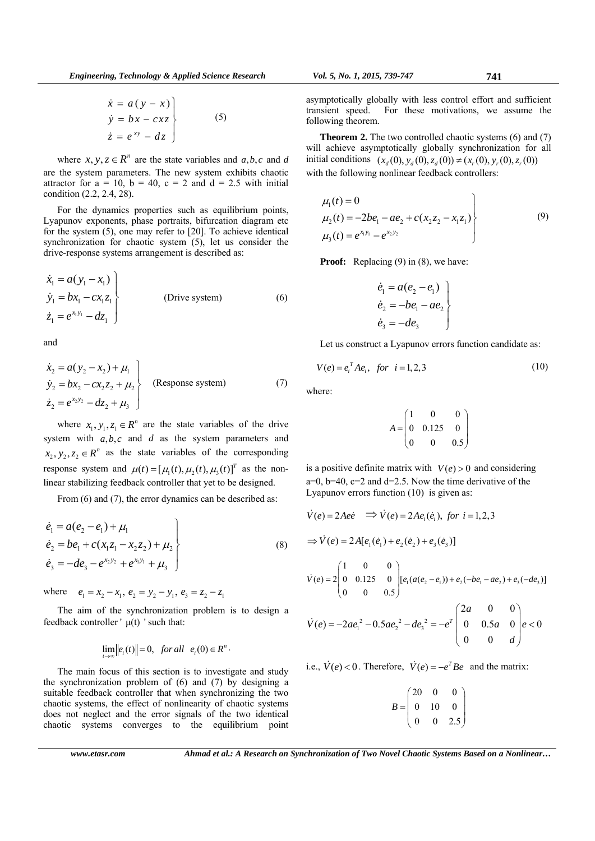$$
\begin{aligned}\n\dot{x} &= a(y - x) \\
\dot{y} &= bx - c x z \\
\dot{z} &= e^{xy} - dz\n\end{aligned}
$$
\n(5)

where  $x, y, z \in \mathbb{R}^n$  are the state variables and  $a, b, c$  and  $d$ are the system parameters. The new system exhibits chaotic attractor for  $a = 10$ ,  $b = 40$ ,  $c = 2$  and  $d = 2.5$  with initial condition (2.2, 2.4, 28).

For the dynamics properties such as equilibrium points, Lyapunov exponents, phase portraits, bifurcation diagram etc for the system (5), one may refer to [20]. To achieve identical synchronization for chaotic system (5), let us consider the drive-response systems arrangement is described as:

$$
\begin{aligned}\n\dot{x}_1 &= a(y_1 - x_1) \\
\dot{y}_1 &= bx_1 - cx_1z_1 \\
\dot{z}_1 &= e^{x_1y_1} - dz_1\n\end{aligned}
$$
\n(Drive system) (6)

and

$$
\begin{aligned}\n\dot{x}_2 &= a(y_2 - x_2) + \mu_1 \\
\dot{y}_2 &= bx_2 - cx_2z_2 + \mu_2 \\
\dot{z}_2 &= e^{x_2y_2} - dz_2 + \mu_3\n\end{aligned}
$$
\n(Response system) (7)

where  $x_1, y_1, z_1 \in \mathbb{R}^n$  are the state variables of the drive system with  $a, b, c$  and  $d$  as the system parameters and  $x_2, y_2, z_2 \in \mathbb{R}^n$  as the state variables of the corresponding response system and  $\mu(t) = [\mu_1(t), \mu_2(t), \mu_3(t)]^T$  as the nonlinear stabilizing feedback controller that yet to be designed.

From (6) and (7), the error dynamics can be described as:

$$
\begin{aligned}\n\dot{e}_1 &= a(e_2 - e_1) + \mu_1 \\
\dot{e}_2 &= be_1 + c(x_1 z_1 - x_2 z_2) + \mu_2 \\
\dot{e}_3 &= -de_3 - e^{x_2 y_2} + e^{x_1 y_1} + \mu_3\n\end{aligned}
$$
\n(8)

where  $e_1 = x_2 - x_1$ ,  $e_2 = y_2 - y_1$ ,  $e_3 = z_2 - z_1$ 

The aim of the synchronization problem is to design a feedback controller ' $\mu(t)$ ' such that:

$$
\lim_{t\to\infty}||e_i(t)||=0, \text{ for all } e_i(0)\in R^n.
$$

The main focus of this section is to investigate and study the synchronization problem of  $(6)$  and  $(7)$  by designing a suitable feedback controller that when synchronizing the two chaotic systems, the effect of nonlinearity of chaotic systems does not neglect and the error signals of the two identical chaotic systems converges to the equilibrium point asymptotically globally with less control effort and sufficient transient speed. For these motivations, we assume the following theorem.

**Theorem 2.** The two controlled chaotic systems (6) and (7) will achieve asymptotically globally synchronization for all initial conditions  $(x_a(0), y_a(0), z_a(0)) \neq (x_r(0), y_r(0), z_r(0))$ with the following nonlinear feedback controllers:

$$
\mu_1(t) = 0
$$
  
\n
$$
\mu_2(t) = -2be_1 - ae_2 + c(x_2z_2 - x_1z_1)
$$
  
\n
$$
\mu_3(t) = e^{x_1y_1} - e^{x_2y_2}
$$
\n(9)

**Proof:** Replacing (9) in (8), we have:

$$
\begin{aligned}\n \dot{e}_1 &= a(e_2 - e_1) \\
 \dot{e}_2 &= -be_1 - ae_2 \\
 \dot{e}_3 &= -de_3\n \end{aligned}
$$

Let us construct a Lyapunov errors function candidate as:

$$
V(e) = e_i^T A e_i, \text{ for } i = 1, 2, 3
$$
 (10)

where:

$$
A = \begin{pmatrix} 1 & 0 & 0 \\ 0 & 0.125 & 0 \\ 0 & 0 & 0.5 \end{pmatrix}
$$

is a positive definite matrix with  $V(e) > 0$  and considering  $a=0$ ,  $b=40$ ,  $c=2$  and  $d=2.5$ . Now the time derivative of the Lyapunov errors function (10) is given as:

$$
\dot{V}(e) = 2Aee \implies \dot{V}(e) = 2Ae_i(\dot{e}_i), \text{ for } i = 1, 2, 3
$$
\n
$$
\implies \dot{V}(e) = 2A[e_1(\dot{e}_1) + e_2(\dot{e}_2) + e_3(\dot{e}_3)]
$$
\n
$$
\dot{V}(e) = 2\begin{pmatrix} 1 & 0 & 0 \\ 0 & 0.125 & 0 \\ 0 & 0 & 0.5 \end{pmatrix} [e_1(a(e_2 - e_1)) + e_2(-be_1 - ae_2) + e_3(-de_3)]
$$
\n
$$
\dot{V}(e) = -2ae_1^2 - 0.5ae_2^2 - de_3^2 = -e^T \begin{pmatrix} 2a & 0 & 0 \\ 0 & 0.5a & 0 \\ 0 & 0 & d \end{pmatrix} e < 0
$$
\ni.e.,  $\dot{V}(e) < 0$ . Therefore,  $\dot{V}(e) = -e^T Be$  and the matrix:

$$
B = \begin{pmatrix} 20 & 0 & 0 \\ 0 & 10 & 0 \\ 0 & 0 & 2.5 \end{pmatrix}
$$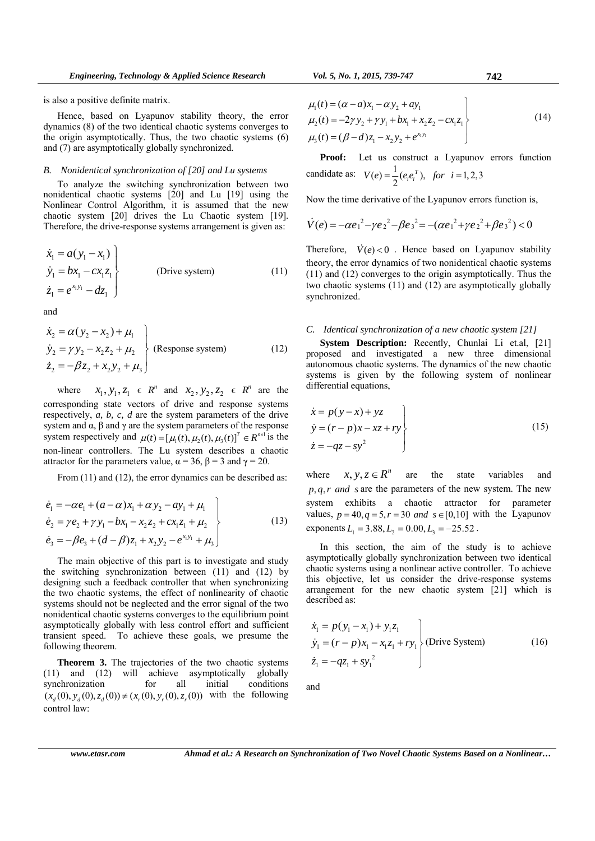is also a positive definite matrix.

Hence, based on Lyapunov stability theory, the error dynamics (8) of the two identical chaotic systems converges to the origin asymptotically. Thus, the two chaotic systems (6) and (7) are asymptotically globally synchronized.

# *B. Nonidentical synchronization of [20] and Lu systems*

To analyze the switching synchronization between two nonidentical chaotic systems [20] and Lu [19] using the Nonlinear Control Algorithm, it is assumed that the new chaotic system [20] drives the Lu Chaotic system [19]. Therefore, the drive-response systems arrangement is given as:

$$
\begin{aligned}\n\dot{x}_1 &= a(y_1 - x_1) \\
\dot{y}_1 &= bx_1 - cx_1 z_1 \\
\dot{z}_1 &= e^{x_1 y_1} - dz_1\n\end{aligned}
$$
\n(Drive system) (11)

and

$$
\begin{aligned}\n\dot{x}_2 &= \alpha (y_2 - x_2) + \mu_1 \\
\dot{y}_2 &= \gamma y_2 - x_2 z_2 + \mu_2 \\
\dot{z}_2 &= -\beta z_2 + x_2 y_2 + \mu_3\n\end{aligned}
$$
\n(Respose system) (12)

where  $x_1, y_1, z_1 \in R^n$  and  $x_2, y_2, z_2 \in R^n$  are the corresponding state vectors of drive and response systems respectively, *a, b, c, d* are the system parameters of the drive system and  $\alpha$ ,  $\beta$  and  $\gamma$  are the system parameters of the response system respectively and  $\mu(t) = [\mu_1(t), \mu_2(t), \mu_3(t)]^T \in R^{n \times 1}$  is the non-linear controllers. The Lu system describes a chaotic attractor for the parameters value,  $\alpha = 36$ ,  $\beta = 3$  and  $\gamma = 20$ .

From (11) and (12), the error dynamics can be described as:

$$
\dot{e}_1 = -\alpha e_1 + (\alpha - \alpha)x_1 + \alpha y_2 - \alpha y_1 + \mu_1 \n\dot{e}_2 = \gamma e_2 + \gamma y_1 - bx_1 - x_2 z_2 + c x_1 z_1 + \mu_2 \n\dot{e}_3 = -\beta e_3 + (d - \beta) z_1 + x_2 y_2 - e^{x_1 y_1} + \mu_3
$$
\n(13)

The main objective of this part is to investigate and study the switching synchronization between (11) and (12) by designing such a feedback controller that when synchronizing the two chaotic systems, the effect of nonlinearity of chaotic systems should not be neglected and the error signal of the two nonidentical chaotic systems converges to the equilibrium point asymptotically globally with less control effort and sufficient transient speed. To achieve these goals, we presume the following theorem.

**Theorem 3.** The trajectories of the two chaotic systems (11) and (12) will achieve asymptotically globally synchronization for all initial conditions  $(x_a(0), y_a(0), z_a(0)) \neq (x_a(0), y_a(0), z_a(0))$  with the following control law:

$$
\mu_1(t) = (\alpha - a)x_1 - \alpha y_2 + \alpha y_1
$$
  
\n
$$
\mu_2(t) = -2\gamma y_2 + \gamma y_1 + bx_1 + x_2 z_2 - cx_1 z_1
$$
  
\n
$$
\mu_3(t) = (\beta - d)z_1 - x_2 y_2 + e^{x_1 y_1}
$$
\n(14)

**Proof:** Let us construct a Lyapunov errors function candidate as:  $V(e) = \frac{1}{2} (e_i e_i^T)$ , for  $i = 1,2,3$ 

Now the time derivative of the Lyapunov errors function is,

$$
\dot{V}(e) = -\alpha e_1^2 - \gamma e_2^2 - \beta e_3^2 = -(\alpha e_1^2 + \gamma e_2^2 + \beta e_3^2) < 0
$$

Therefore,  $\dot{V}(e) < 0$ . Hence based on Lyapunov stability theory, the error dynamics of two nonidentical chaotic systems (11) and (12) converges to the origin asymptotically. Thus the two chaotic systems (11) and (12) are asymptotically globally synchronized.

#### *C. Identical synchronization of a new chaotic system [21]*

**System Description:** Recently, Chunlai Li et.al, [21] proposed and investigated a new three dimensional autonomous chaotic systems. The dynamics of the new chaotic systems is given by the following system of nonlinear differential equations,

$$
\begin{aligned}\n\dot{x} &= p(y-x) + yz \\
\dot{y} &= (r-p)x - xz + ry \\
\dot{z} &= -qz - sy^2\n\end{aligned}
$$
\n(15)

where  $x, y, z \in \mathbb{R}^n$  are the state variables and  $p, q, r$  *and s* are the parameters of the new system. The new system exhibits a chaotic attractor for parameter values,  $p = 40, q = 5, r = 30$  and  $s \in [0, 10]$  with the Lyapunov exponents  $L_1 = 3.88, L_2 = 0.00, L_3 = -25.52$ .

In this section, the aim of the study is to achieve asymptotically globally synchronization between two identical chaotic systems using a nonlinear active controller. To achieve this objective, let us consider the drive-response systems arrangement for the new chaotic system [21] which is described as:

$$
\begin{aligned}\n\dot{x}_1 &= p(y_1 - x_1) + y_1 z_1 \\
\dot{y}_1 &= (r - p)x_1 - x_1 z_1 + r y_1 \\
\dot{z}_1 &= -q z_1 + s y_1^2\n\end{aligned}
$$
\n(Drive System) (16)

and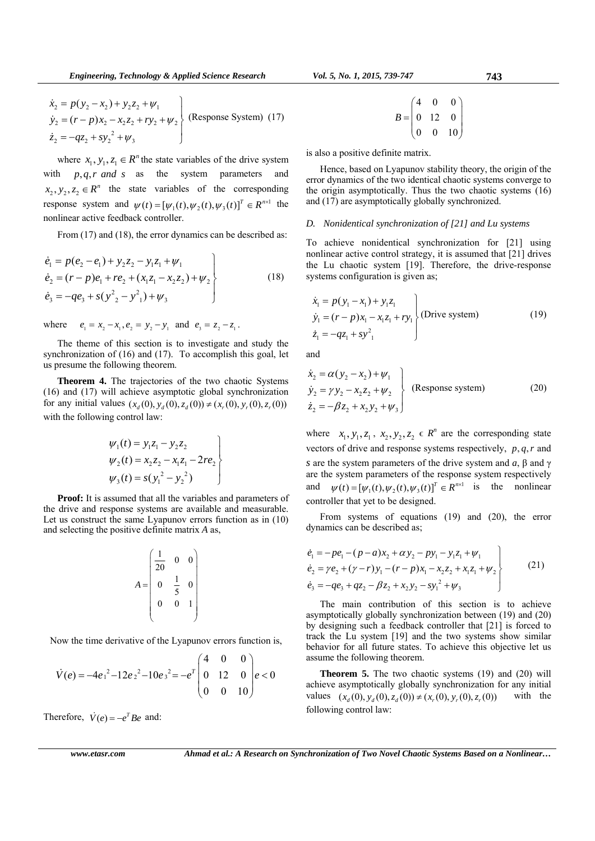$$
\begin{aligned}\n\dot{x}_2 &= p(y_2 - x_2) + y_2 z_2 + \psi_1 \\
\dot{y}_2 &= (r - p)x_2 - x_2 z_2 + r y_2 + \psi_2 \\
\dot{z}_2 &= -qz_2 + s y_2^2 + \psi_3\n\end{aligned}
$$
\n(Response System) (17)

where  $x_1, y_1, z_1 \in \mathbb{R}^n$  the state variables of the drive system with  $p, q, r \text{ and } s$  as the system parameters and  $x_2, y_2, z_2 \in \mathbb{R}^n$  the state variables of the corresponding response system and  $\psi(t) = [\psi_1(t), \psi_2(t), \psi_3(t)]^T \in R^{n \times 1}$  the nonlinear active feedback controller.

From (17) and (18), the error dynamics can be described as:

$$
\begin{aligned}\n\dot{e}_1 &= p(e_2 - e_1) + y_2 z_2 - y_1 z_1 + \psi_1 \\
\dot{e}_2 &= (r - p)e_1 + r e_2 + (x_1 z_1 - x_2 z_2) + \psi_2 \\
\dot{e}_3 &= -q e_3 + s (y^2{}_2 - y^2{}_1) + \psi_3\n\end{aligned}
$$
\n(18)

where  $e_1 = x_2 - x_1, e_2 = y_2 - y_1$  and  $e_3 = z_2 - z_1$ .

The theme of this section is to investigate and study the synchronization of (16) and (17). To accomplish this goal, let us presume the following theorem.

**Theorem 4.** The trajectories of the two chaotic Systems (16) and (17) will achieve asymptotic global synchronization for any initial values  $(x_d(0), y_d(0), z_d(0)) \neq (x_r(0), y_r(0), z_r(0))$ with the following control law:

$$
\psi_1(t) = y_1 z_1 - y_2 z_2 \n\psi_2(t) = x_2 z_2 - x_1 z_1 - 2re_2 \n\psi_3(t) = s(y_1^2 - y_2^2)
$$

**Proof:** It is assumed that all the variables and parameters of the drive and response systems are available and measurable. Let us construct the same Lyapunov errors function as in (10) and selecting the positive definite matrix *A* as,

$$
A = \begin{pmatrix} \frac{1}{20} & 0 & 0 \\ 0 & \frac{1}{5} & 0 \\ 0 & 0 & 1 \end{pmatrix}
$$

Now the time derivative of the Lyapunov errors function is,

$$
\dot{V}(e) = -4e_1^2 - 12e_2^2 - 10e_3^2 = -e^T \begin{pmatrix} 4 & 0 & 0 \\ 0 & 12 & 0 \\ 0 & 0 & 10 \end{pmatrix} e < 0
$$

Therefore,  $\dot{V}(e) = -e^T B e$  and:

$$
B = \begin{pmatrix} 4 & 0 & 0 \\ 0 & 12 & 0 \\ 0 & 0 & 10 \end{pmatrix}
$$

is also a positive definite matrix.

Hence, based on Lyapunov stability theory, the origin of the error dynamics of the two identical chaotic systems converge to the origin asymptotically. Thus the two chaotic systems (16) and (17) are asymptotically globally synchronized.

# *D. Nonidentical synchronization of [21] and Lu systems*

To achieve nonidentical synchronization for [21] using nonlinear active control strategy, it is assumed that [21] drives the Lu chaotic system [19]. Therefore, the drive-response systems configuration is given as;

$$
\begin{aligned}\n\dot{x}_1 &= p(y_1 - x_1) + y_1 z_1 \\
\dot{y}_1 &= (r - p)x_1 - x_1 z_1 + r y_1 \\
\dot{z}_1 &= -qz_1 + s y_1^2\n\end{aligned}\n\quad \text{(Divive system)}
$$
\n(19)

and

$$
\begin{aligned}\n\dot{x}_2 &= \alpha (y_2 - x_2) + \psi_1 \\
\dot{y}_2 &= \gamma y_2 - x_2 z_2 + \psi_2 \\
\dot{z}_2 &= -\beta z_2 + x_2 y_2 + \psi_3\n\end{aligned}
$$
\n(Response system) (20)

where  $x_1, y_1, z_1, x_2, y_2, z_2 \in \mathbb{R}^n$  are the corresponding state vectors of drive and response systems respectively,  $p, q, r$  and *s* are the system parameters of the drive system and *a*, β and γ are the system parameters of the response system respectively and  $\psi(t) = [\psi_1(t), \psi_2(t), \psi_3(t)]^T \in R^{n \times 1}$  is the nonlinear controller that yet to be designed.

From systems of equations (19) and (20), the error dynamics can be described as;

$$
\begin{aligned}\n\dot{e}_1 &= -pe_1 - (p - a)x_2 + \alpha y_2 - py_1 - y_1 z_1 + \psi_1 \\
\dot{e}_2 &= \gamma e_2 + (\gamma - r)y_1 - (r - p)x_1 - x_2 z_2 + x_1 z_1 + \psi_2 \\
\dot{e}_3 &= -qe_3 + qz_2 - \beta z_2 + x_2 y_2 - sy_1^2 + \psi_3\n\end{aligned}
$$
\n(21)

The main contribution of this section is to achieve asymptotically globally synchronization between (19) and (20) by designing such a feedback controller that [21] is forced to track the Lu system [19] and the two systems show similar behavior for all future states. To achieve this objective let us assume the following theorem.

**Theorem 5.** The two chaotic systems (19) and (20) will achieve asymptotically globally synchronization for any initial values  $(x_a(0), y_a(0), z_a(0)) \neq (x_r(0), y_r(0), z_r(0))$  with the following control law:

*www.etasr.com Ahmad et al.: A Research on Synchronization of Two Novel Chaotic Systems Based on a Nonlinear…*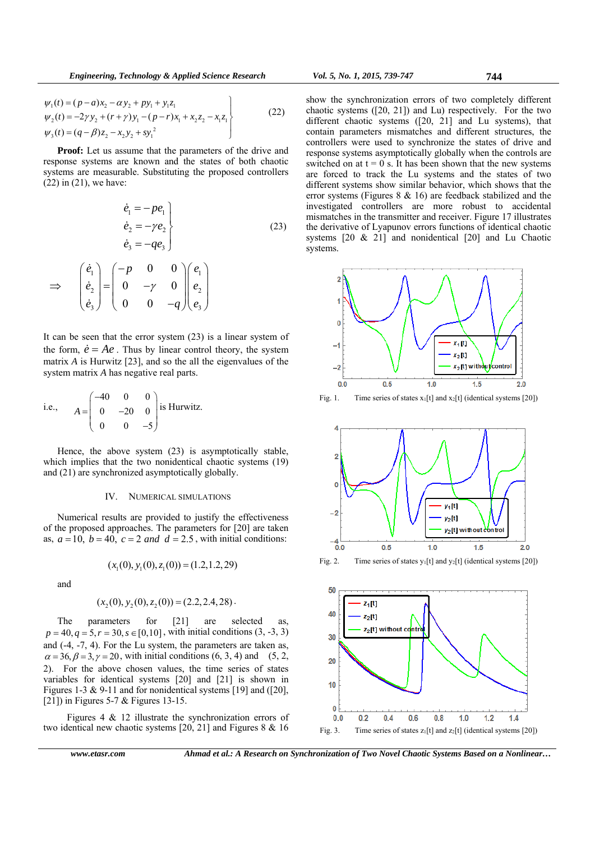$$
\psi_1(t) = (p - a)x_2 - \alpha y_2 + py_1 + y_1 z_1 \n\psi_2(t) = -2\gamma y_2 + (r + \gamma) y_1 - (p - r)x_1 + x_2 z_2 - x_1 z_1 \n\psi_3(t) = (q - \beta) z_2 - x_2 y_2 + s y_1^2
$$
\n(22)

**Proof:** Let us assume that the parameters of the drive and response systems are known and the states of both chaotic systems are measurable. Substituting the proposed controllers (22) in (21), we have:

$$
\begin{aligned}\n\dot{e}_1 &= -pe_1 \\
\dot{e}_2 &= -\gamma e_2 \\
\dot{e}_3 &= -qe_3\n\end{aligned}
$$
\n(23)

$$
\Rightarrow \begin{pmatrix} \dot{e}_1 \\ \dot{e}_2 \\ \dot{e}_3 \end{pmatrix} = \begin{pmatrix} -p & 0 & 0 \\ 0 & -\gamma & 0 \\ 0 & 0 & -q \end{pmatrix} \begin{pmatrix} e_1 \\ e_2 \\ e_3 \end{pmatrix}
$$

It can be seen that the error system (23) is a linear system of the form,  $\dot{e} = Ae$ . Thus by linear control theory, the system matrix *A* is Hurwitz [23], and so the all the eigenvalues of the system matrix *A* has negative real parts.

i.e., 
$$
A = \begin{pmatrix} -40 & 0 & 0 \\ 0 & -20 & 0 \\ 0 & 0 & -5 \end{pmatrix}
$$
 is Hurwitz.

Hence, the above system (23) is asymptotically stable, which implies that the two nonidentical chaotic systems  $(19)$ and (21) are synchronized asymptotically globally.

# IV. NUMERICAL SIMULATIONS

Numerical results are provided to justify the effectiveness of the proposed approaches. The parameters for [20] are taken as,  $a = 10$ ,  $b = 40$ ,  $c = 2$  and  $d = 2.5$ , with initial conditions:

$$
(x_1(0), y_1(0), z_1(0)) = (1.2, 1.2, 29)
$$

and

$$
(x_2(0), y_2(0), z_2(0)) = (2.2, 2.4, 28).
$$

The parameters for [21] are selected as,  $p = 40, q = 5, r = 30, s \in [0, 10]$ , with initial conditions (3, -3, 3) and (-4, -7, 4). For the Lu system, the parameters are taken as,  $\alpha = 36, \beta = 3, \gamma = 20$ , with initial conditions (6, 3, 4) and (5, 2, 2). For the above chosen values, the time series of states variables for identical systems [20] and [21] is shown in Figures 1-3 & 9-11 and for nonidentical systems [19] and ([20], [21]) in Figures 5-7 & Figures 13-15.

 Figures 4 & 12 illustrate the synchronization errors of two identical new chaotic systems [20, 21] and Figures 8 & 16

show the synchronization errors of two completely different chaotic systems ([20, 21]) and Lu) respectively. For the two different chaotic systems ([20, 21] and Lu systems), that contain parameters mismatches and different structures, the controllers were used to synchronize the states of drive and response systems asymptotically globally when the controls are switched on at  $t = 0$  s. It has been shown that the new systems are forced to track the Lu systems and the states of two different systems show similar behavior, which shows that the error systems (Figures 8 & 16) are feedback stabilized and the investigated controllers are more robust to accidental mismatches in the transmitter and receiver. Figure 17 illustrates the derivative of Lyapunov errors functions of identical chaotic systems [20 & 21] and nonidentical [20] and Lu Chaotic systems.



Fig. 1. Time series of states  $x_1[t]$  and  $x_2[t]$  (identical systems [20])



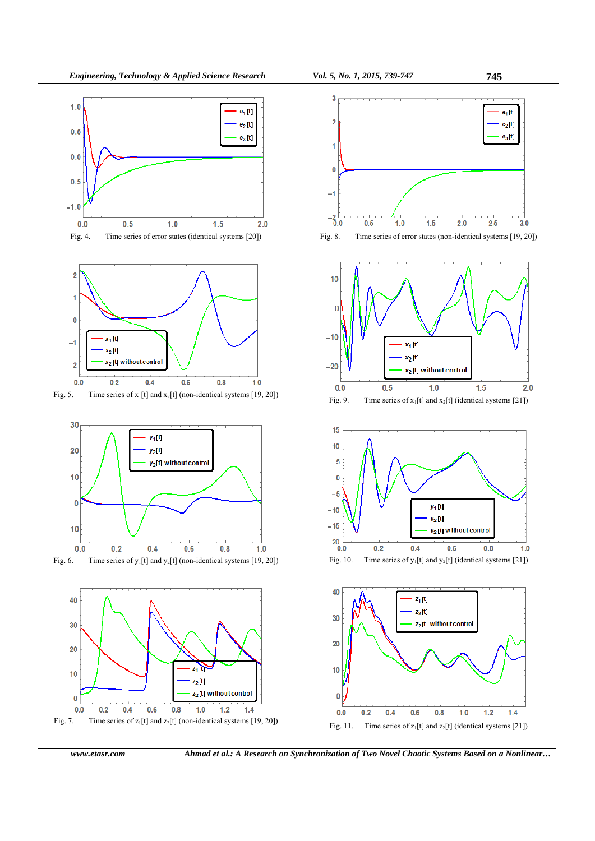

















*www.etasr.com Ahmad et al.: A Research on Synchronization of Two Novel Chaotic Systems Based on a Nonlinear…*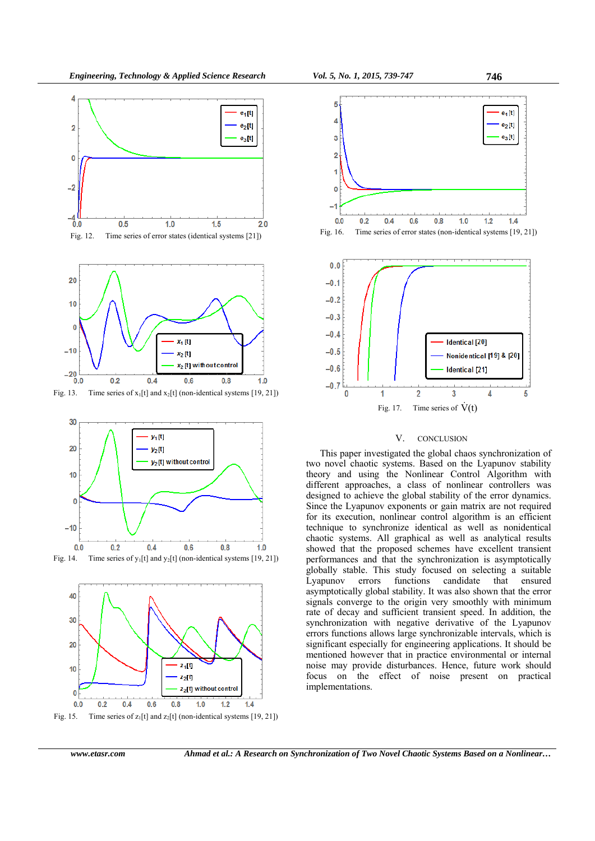



Fig. 13. Time series of  $x_1[t]$  and  $x_2[t]$  (non-identical systems [19, 21])







Fig. 16. Time series of error states (non-identical systems [19, 21])



## V. CONCLUSION

This paper investigated the global chaos synchronization of two novel chaotic systems. Based on the Lyapunov stability theory and using the Nonlinear Control Algorithm with different approaches, a class of nonlinear controllers was designed to achieve the global stability of the error dynamics. Since the Lyapunov exponents or gain matrix are not required for its execution, nonlinear control algorithm is an efficient technique to synchronize identical as well as nonidentical chaotic systems. All graphical as well as analytical results showed that the proposed schemes have excellent transient performances and that the synchronization is asymptotically globally stable. This study focused on selecting a suitable Lyapunov errors functions candidate that ensured asymptotically global stability. It was also shown that the error signals converge to the origin very smoothly with minimum rate of decay and sufficient transient speed. In addition, the synchronization with negative derivative of the Lyapunov errors functions allows large synchronizable intervals, which is significant especially for engineering applications. It should be mentioned however that in practice environmental or internal noise may provide disturbances. Hence, future work should focus on the effect of noise present on practical implementations.